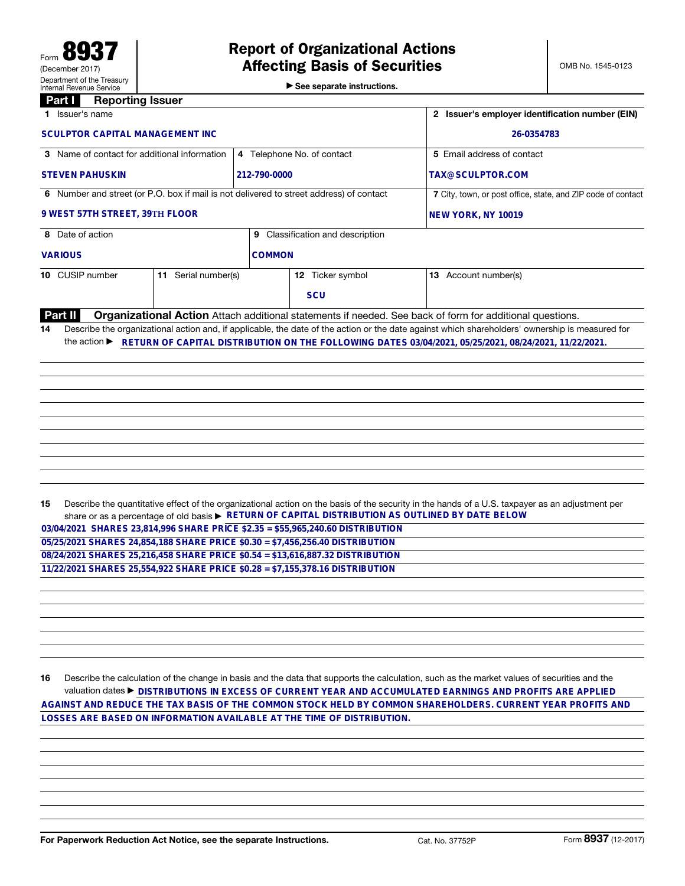▶ See separate instructions.

## Part **I** Reporting Issuer

| 1 Issuer's name                                                                                                                                                                                                                                                                                                                          |                     | 2 Issuer's employer identification number (EIN)              |                                  |                                                                                                                                                                                                                                                     |  |  |
|------------------------------------------------------------------------------------------------------------------------------------------------------------------------------------------------------------------------------------------------------------------------------------------------------------------------------------------|---------------------|--------------------------------------------------------------|----------------------------------|-----------------------------------------------------------------------------------------------------------------------------------------------------------------------------------------------------------------------------------------------------|--|--|
| <b>SCULPTOR CAPITAL MANAGEMENT INC</b>                                                                                                                                                                                                                                                                                                   |                     | 26-0354783                                                   |                                  |                                                                                                                                                                                                                                                     |  |  |
| 3 Name of contact for additional information                                                                                                                                                                                                                                                                                             |                     |                                                              | 4 Telephone No. of contact       | 5 Email address of contact                                                                                                                                                                                                                          |  |  |
| <b>STEVEN PAHUSKIN</b><br>212-790-0000                                                                                                                                                                                                                                                                                                   |                     |                                                              |                                  | TAX@SCULPTOR.COM                                                                                                                                                                                                                                    |  |  |
| 6 Number and street (or P.O. box if mail is not delivered to street address) of contact                                                                                                                                                                                                                                                  |                     | 7 City, town, or post office, state, and ZIP code of contact |                                  |                                                                                                                                                                                                                                                     |  |  |
| 9 WEST 57TH STREET, 39TH FLOOR                                                                                                                                                                                                                                                                                                           |                     | NEW YORK, NY 10019                                           |                                  |                                                                                                                                                                                                                                                     |  |  |
| 8 Date of action                                                                                                                                                                                                                                                                                                                         |                     |                                                              | 9 Classification and description |                                                                                                                                                                                                                                                     |  |  |
| <b>VARIOUS</b>                                                                                                                                                                                                                                                                                                                           |                     | <b>COMMON</b>                                                |                                  |                                                                                                                                                                                                                                                     |  |  |
| 10 CUSIP number                                                                                                                                                                                                                                                                                                                          | 11 Serial number(s) |                                                              | 12 Ticker symbol                 | 13 Account number(s)                                                                                                                                                                                                                                |  |  |
|                                                                                                                                                                                                                                                                                                                                          |                     |                                                              | <b>SCU</b>                       |                                                                                                                                                                                                                                                     |  |  |
| Part II                                                                                                                                                                                                                                                                                                                                  |                     |                                                              |                                  | Organizational Action Attach additional statements if needed. See back of form for additional questions.                                                                                                                                            |  |  |
|                                                                                                                                                                                                                                                                                                                                          |                     |                                                              |                                  |                                                                                                                                                                                                                                                     |  |  |
| 15<br>03/04/2021 SHARES 23,814,996 SHARE PRICE \$2.35 = \$55,965,240.60 DISTRIBUTION<br>05/25/2021 SHARES 24,854,188 SHARE PRICE \$0.30 = \$7,456,256.40 DISTRIBUTION<br>08/24/2021 SHARES 25,216,458 SHARE PRICE \$0.54 = \$13,616,887.32 DISTRIBUTION<br>11/22/2021 SHARES 25,554,922 SHARE PRICE \$0.28 = \$7,155,378.16 DISTRIBUTION |                     |                                                              |                                  | Describe the quantitative effect of the organizational action on the basis of the security in the hands of a U.S. taxpayer as an adjustment per<br>share or as a percentage of old basis ► RETURN OF CAPITAL DISTRIBUTION AS OUTLINED BY DATE BELOW |  |  |
|                                                                                                                                                                                                                                                                                                                                          |                     |                                                              |                                  |                                                                                                                                                                                                                                                     |  |  |

16 Describe the calculation of the change in basis and the data that supports the calculation, such as the market values of securities and the valuation dates ▶ **DISTRIBUTIONS IN EXCESS OF CURRENT YEAR AND ACCUMULATED EARNINGS AND PROFITS ARE APPLIED AGAINST AND REDUCE THE TAX BASIS OF THE COMMON STOCK HELD BY COMMON SHAREHOLDERS. CURRENT YEAR PROFITS AND LOSSES ARE BASED ON INFORMATION AVAILABLE AT THE TIME OF DISTRIBUTION.**